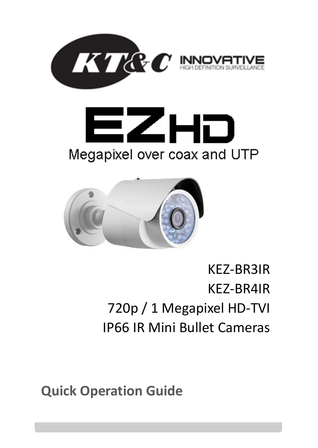





# KEZ-BR3IR KEZ-BR4IR 720p / 1 Megapixel HD-TVI IP66 IR Mini Bullet Cameras

**Quick Operation Guide**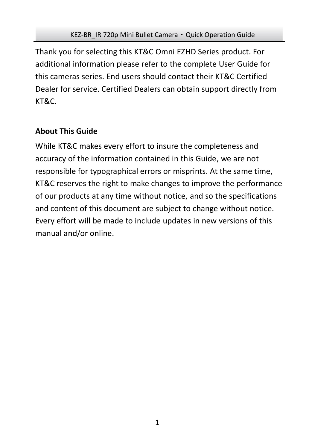Thank you for selecting this KT&C Omni EZHD Series product. For additional information please refer to the complete User Guide for this cameras series. End users should contact their KT&C Certified Dealer for service. Certified Dealers can obtain support directly from KT&C.

## **About This Guide**

While KT&C makes every effort to insure the completeness and accuracy of the information contained in this Guide, we are not responsible for typographical errors or misprints. At the same time, KT&C reserves the right to make changes to improve the performance of our products at any time without notice, and so the specifications and content of this document are subject to change without notice. Every effort will be made to include updates in new versions of this manual and/or online.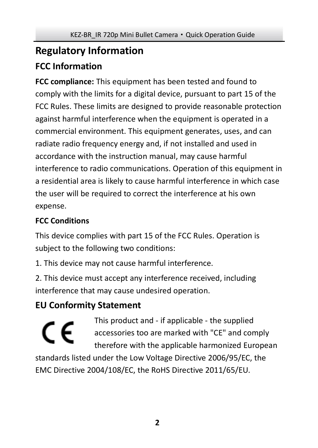## **Regulatory Information FCC Information**

**FCC compliance:** This equipment has been tested and found to comply with the limits for a digital device, pursuant to part 15 of the FCC Rules. These limits are designed to provide reasonable protection against harmful interference when the equipment is operated in a commercial environment. This equipment generates, uses, and can radiate radio frequency energy and, if not installed and used in accordance with the instruction manual, may cause harmful interference to radio communications. Operation of this equipment in a residential area is likely to cause harmful interference in which case the user will be required to correct the interference at his own expense.

## **FCC Conditions**

This device complies with part 15 of the FCC Rules. Operation is subject to the following two conditions:

1. This device may not cause harmful interference.

2. This device must accept any interference received, including interference that may cause undesired operation.

## **EU Conformity Statement**

This product and - if applicable - the supplied C E accessories too are marked with "CE" and comply therefore with the applicable harmonized European standards listed under the Low Voltage Directive 2006/95/EC, the EMC Directive 2004/108/EC, the RoHS Directive 2011/65/EU.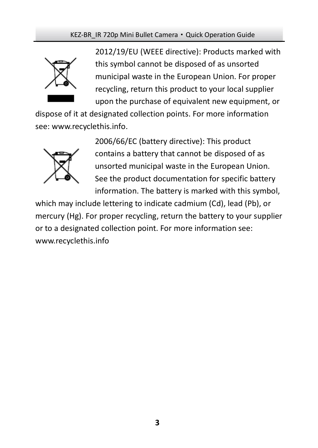#### KEZ-BR\_IR 720p Mini Bullet Camera · Quick Operation Guide



2012/19/EU (WEEE directive): Products marked with this symbol cannot be disposed of as unsorted municipal waste in the European Union. For proper recycling, return this product to your local supplier upon the purchase of equivalent new equipment, or

dispose of it at designated collection points. For more information see[: www.recyclethis.info.](http://www.recyclethis.info/)



2006/66/EC (battery directive): This product contains a battery that cannot be disposed of as unsorted municipal waste in the European Union. See the product documentation for specific battery information. The battery is marked with this symbol,

which may include lettering to indicate cadmium (Cd), lead (Pb), or mercury (Hg). For proper recycling, return the battery to your supplier or to a designated collection point. For more information see: www.recyclethis.info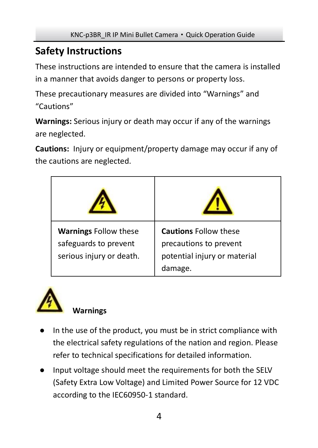## **Safety Instructions**

These instructions are intended to ensure that the camera is installed in a manner that avoids danger to persons or property loss.

These precautionary measures are divided into "Warnings" and "Cautions"

**Warnings:** Serious injury or death may occur if any of the warnings are neglected.

**Cautions:** Injury or equipment/property damage may occur if any of the cautions are neglected.

| <b>Warnings Follow these</b><br>safeguards to prevent<br>serious injury or death. | <b>Cautions Follow these</b><br>precautions to prevent<br>potential injury or material<br>damage. |
|-----------------------------------------------------------------------------------|---------------------------------------------------------------------------------------------------|



## **Warnings**

- In the use of the product, you must be in strict compliance with the electrical safety regulations of the nation and region. Please refer to technical specifications for detailed information.
- Input voltage should meet the requirements for both the SELV (Safety Extra Low Voltage) and Limited Power Source for 12 VDC according to the IEC60950-1 standard.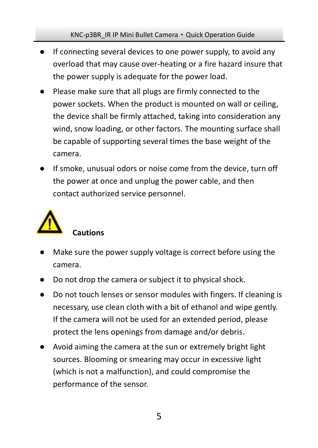#### KNC-p3BR\_IR IP Mini Bullet Camera · Quick Operation Guide

- If connecting several devices to one power supply, to avoid any overload that may cause over-heating or a fire hazard insure that the power supply is adequate for the power load.
- Please make sure that all plugs are firmly connected to the power sockets. When the product is mounted on wall or ceiling, the device shall be firmly attached, taking into consideration any wind, snow loading, or other factors. The mounting surface shall be capable of supporting several times the base weight of the camera.
- If smoke, unusual odors or noise come from the device, turn off the power at once and unplug the power cable, and then contact authorized service personnel.



# Make sure the power supply voltage is correct before using the camera.

- Do not drop the camera or subject it to physical shock.
- Do not touch lenses or sensor modules with fingers. If cleaning is necessary, use clean cloth with a bit of ethanol and wipe gently. If the camera will not be used for an extended period, please protect the lens openings from damage and/or debris.
- Avoid aiming the camera at the sun or extremely bright light sources. Blooming or smearing may occur in excessive light (which is not a malfunction), and could compromise the performance of the sensor.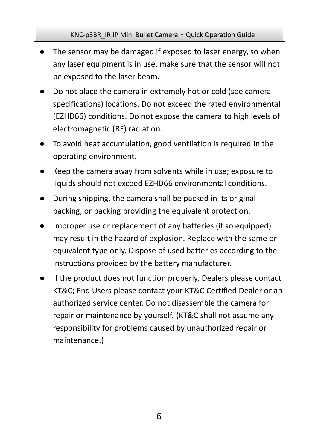#### KNC-p3BR\_IR IP Mini Bullet Camera · Quick Operation Guide

- The sensor may be damaged if exposed to laser energy, so when any laser equipment is in use, make sure that the sensor will not be exposed to the laser beam.
- Do not place the camera in extremely hot or cold (see camera specifications) locations. Do not exceed the rated environmental (EZHD66) conditions. Do not expose the camera to high levels of electromagnetic (RF) radiation.
- To avoid heat accumulation, good ventilation is required in the operating environment.
- Keep the camera away from solvents while in use; exposure to liquids should not exceed EZHD66 environmental conditions.
- During shipping, the camera shall be packed in its original packing, or packing providing the equivalent protection.
- Improper use or replacement of any batteries (if so equipped) may result in the hazard of explosion. Replace with the same or equivalent type only. Dispose of used batteries according to the instructions provided by the battery manufacturer.
- If the product does not function properly. Dealers please contact KT&C; End Users please contact your KT&C Certified Dealer or an authorized service center. Do not disassemble the camera for repair or maintenance by yourself. (KT&C shall not assume any responsibility for problems caused by unauthorized repair or maintenance.)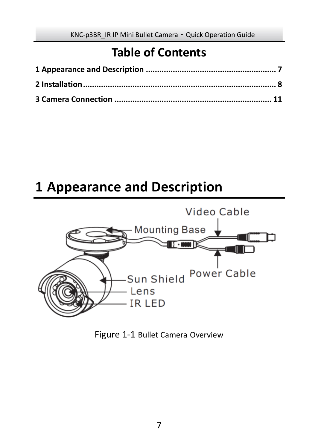# **Table of Contents**

# <span id="page-7-0"></span>**Appearance and Description**



### Figure 1-1 Bullet Camera Overview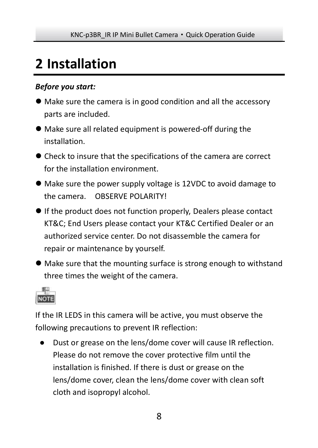# <span id="page-8-0"></span>**2 Installation**

### *Before you start:*

- Make sure the camera is in good condition and all the accessory parts are included.
- Make sure all related equipment is powered-off during the installation.
- Check to insure that the specifications of the camera are correct for the installation environment.
- Make sure the power supply voltage is 12VDC to avoid damage to the camera. OBSERVE POLARITY!
- If the product does not function properly, Dealers please contact KT&C; End Users please contact your KT&C Certified Dealer or an authorized service center. Do not disassemble the camera for repair or maintenance by yourself.
- Make sure that the mounting surface is strong enough to withstand three times the weight of the camera.



If the IR LEDS in this camera will be active, you must observe the following precautions to prevent IR reflection:

● Dust or grease on the lens/dome cover will cause IR reflection. Please do not remove the cover protective film until the installation is finished. If there is dust or grease on the lens/dome cover, clean the lens/dome cover with clean soft cloth and isopropyl alcohol.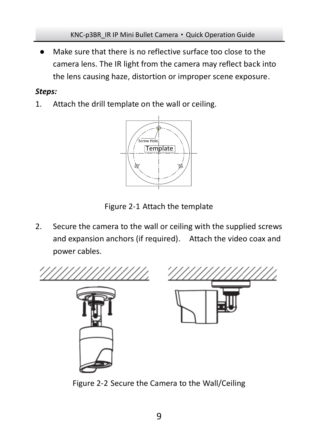Make sure that there is no reflective surface too close to the camera lens. The IR light from the camera may reflect back into the lens causing haze, distortion or improper scene exposure.

### *Steps:*

1. Attach the drill template on the wall or ceiling.



Figure 2-1 Attach the template

2. Secure the camera to the wall or ceiling with the supplied screws and expansion anchors (if required). Attach the video coax and power cables.



Figure 2-2 Secure the Camera to the Wall/Ceiling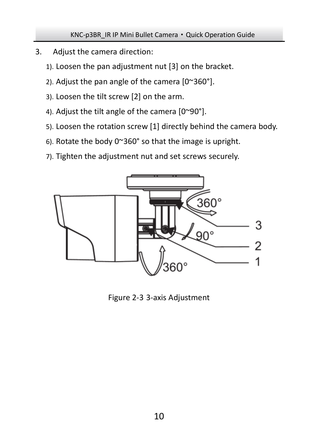#### KNC-p3BR\_IR IP Mini Bullet Camera · Quick Operation Guide

- 3. Adjust the camera direction:
	- 1). Loosen the pan adjustment nut [3] on the bracket.
	- 2). Adjust the pan angle of the camera [0~360°].
	- 3). Loosen the tilt screw [2] on the arm.
	- 4). Adjust the tilt angle of the camera [0~90°].
	- 5). Loosen the rotation screw [1] directly behind the camera body.
	- 6). Rotate the body 0~360° so that the image is upright.
	- 7). Tighten the adjustment nut and set screws securely.



Figure 2-3 3-axis Adjustment